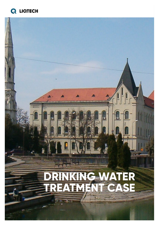

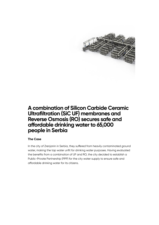

### **A combination of Silicon Carbide Ceramic Ultrafiltration (SiC UF) membranes and Reverse Osmosis (RO) secures safe and affordable drinking water to 65,000 people in Serbia**

#### **The Case**

In the city of Zrenjanin in Serbia, they suffered from heavily contaminated ground water, making the tap water unfit for drinking water purposes. Having evaluated the benefits from a combination of UF and RO, the city decided to establish a Public-Private Partnership (PPP) for the city water supply to ensure safe and affordable drinking water for its citizens.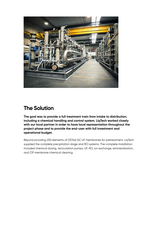

## **The Solution**

**The goal was to provide a full treatment train from intake to distribution, including a chemical handling and control system. LiqTech worked closely with our local partner in order to have local representation throughout the project phase and to provide the end-user with full investment and operational budget.**

Beyond providing 250 elements of OD146 SiC UF membranes for pretreatment, LiqTech supplied the complete precipitation stage and RO systems. The complete installation included chemical dosing, recirculation pumps, UF, RO, ion exchange, remineralization, and CIP membrane chemical cleaning.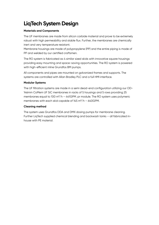# **LiqTech System Design**

#### **Materials and Components**

The UF membranes are made from silicon carbide material and prove to be extremely robust with high permeability and stable flux. Further, the membranes are chemically inert and very temperature resistant.

Membrane housings are made of polypropylene (PP) and the entire piping is made of PP and welded by our certified craftsmen.

The RO system is fabricated as 4 similar sized skids with innovative square housings providing easy mounting and space-saving opportunities. The RO system is powered with high-efficient inline Grundfos BM pumps.

All components and pipes are mounted on galvanized frames and supports. The systems are controlled with Allan Bradley PLC and a full HMI interface.

#### **Modular Systems**

The UF filtration systems are made in a semi dead-end configuration utilizing our OD-146mm CoMem UF SiC membranes in racks of 5 housings and 5 rows providing 25 membranes equal to 100 m<sup>3</sup>/h – 441GPM. pr module. The RO system uses polymeric membranes with each skid capable of  $145 \text{ m}^3/\text{h}$  - 640GPM.

#### **Cleaning method**

The system uses Grundfos DDA and DMX dosing pumps for membrane cleaning. Further LiqTech supplied chemical blending and backwash tanks – all fabricated inhouse with PE material.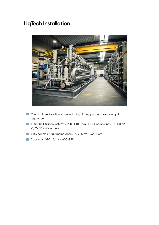# **LiqTech Installation**



- Chemical precipitation stage including dosing pumps, stirrers and pH regulation
- 10 SiC UF filtration systems / 250 OD146mm UF SiC membranes / 2,000 m<sup>2</sup> -21,392 ft² surface area
- 4 RO systems / 600 membranes / 22,200 m<sup>2</sup> 236,806 ft<sup>2</sup>
- Capacity 1,080 m<sup>3</sup>/h 4,400 GPM